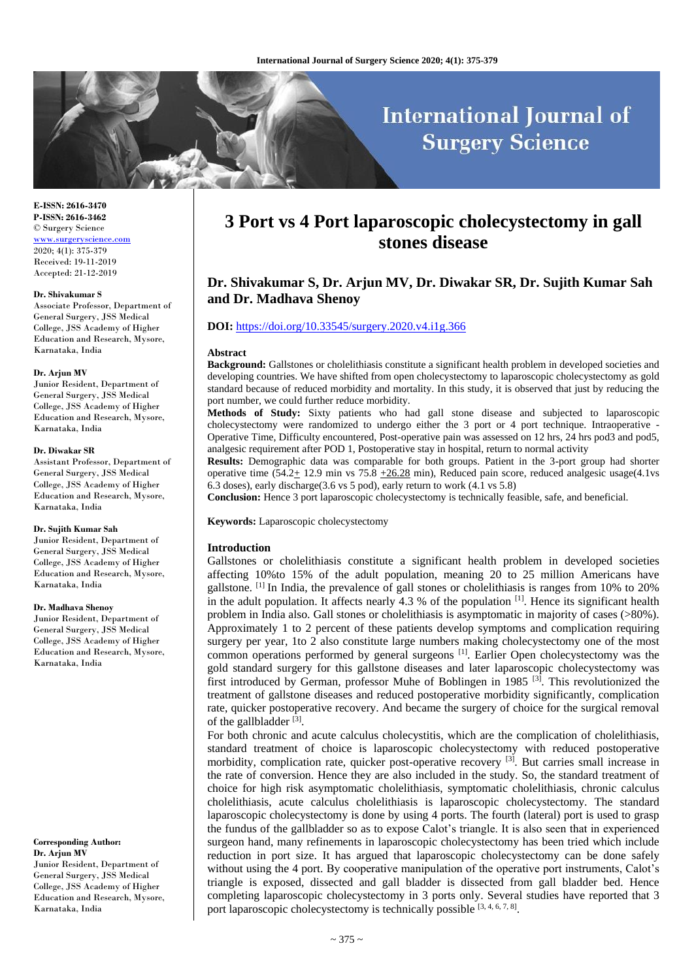# **International Journal of Surgery Science**

**E-ISSN: 2616-3470 P-ISSN: 2616-3462** © Surgery Science <www.surgeryscience.com> 2020; 4(1): 375-379 Received: 19-11-2019 Accepted: 21-12-2019

#### **Dr. Shivakumar S**

Associate Professor, Department of General Surgery, JSS Medical College, JSS Academy of Higher Education and Research, Mysore, Karnataka, India

#### **Dr. Arjun MV**

Junior Resident, Department of General Surgery, JSS Medical College, JSS Academy of Higher Education and Research, Mysore, Karnataka, India

#### **Dr. Diwakar SR**

Assistant Professor, Department of General Surgery, JSS Medical College, JSS Academy of Higher Education and Research, Mysore, Karnataka, India

#### **Dr. Sujith Kumar Sah**

Junior Resident, Department of General Surgery, JSS Medical College, JSS Academy of Higher Education and Research, Mysore, Karnataka, India

#### **Dr. Madhava Shenoy**

Junior Resident, Department of General Surgery, JSS Medical College, JSS Academy of Higher Education and Research, Mysore, Karnataka, India

**Corresponding Author: Dr. Arjun MV** Junior Resident, Department of General Surgery, JSS Medical College, JSS Academy of Higher Education and Research, Mysore, Karnataka, India

# **3 Port vs 4 Port laparoscopic cholecystectomy in gall stones disease**

## **Dr. Shivakumar S, Dr. Arjun MV, Dr. Diwakar SR, Dr. Sujith Kumar Sah and Dr. Madhava Shenoy**

#### **DOI:** <https://doi.org/10.33545/surgery.2020.v4.i1g.366>

#### **Abstract**

**Background:** Gallstones or cholelithiasis constitute a significant health problem in developed societies and developing countries. We have shifted from open cholecystectomy to laparoscopic cholecystectomy as gold standard because of reduced morbidity and mortality. In this study, it is observed that just by reducing the port number, we could further reduce morbidity.

**Methods of Study:** Sixty patients who had gall stone disease and subjected to laparoscopic cholecystectomy were randomized to undergo either the 3 port or 4 port technique. Intraoperative - Operative Time, Difficulty encountered, Post-operative pain was assessed on 12 hrs, 24 hrs pod3 and pod5, analgesic requirement after POD 1, Postoperative stay in hospital, return to normal activity

**Results:** Demographic data was comparable for both groups. Patient in the 3-port group had shorter operative time  $(54.2 \pm 12.9 \text{ min vs } 75.8 \pm 26.28 \text{ min})$ , Reduced pain score, reduced analgesic usage(4.1vs 6.3 doses), early discharge(3.6 vs 5 pod), early return to work (4.1 vs 5.8)

**Conclusion:** Hence 3 port laparoscopic cholecystectomy is technically feasible, safe, and beneficial.

**Keywords:** Laparoscopic cholecystectomy

#### **Introduction**

Gallstones or cholelithiasis constitute a significant health problem in developed societies affecting 10%to 15% of the adult population, meaning 20 to 25 million Americans have gallstone. [1] In India, the prevalence of gall stones or cholelithiasis is ranges from 10% to 20% in the adult population. It affects nearly 4.3 % of the population  $\left[1\right]$ . Hence its significant health problem in India also. Gall stones or cholelithiasis is asymptomatic in majority of cases (>80%). Approximately 1 to 2 percent of these patients develop symptoms and complication requiring surgery per year, 1to 2 also constitute large numbers making cholecystectomy one of the most common operations performed by general surgeons <sup>[1]</sup>. Earlier Open cholecystectomy was the gold standard surgery for this gallstone diseases and later laparoscopic cholecystectomy was first introduced by German, professor Muhe of Boblingen in 1985<sup>[3]</sup>. This revolutionized the treatment of gallstone diseases and reduced postoperative morbidity significantly, complication rate, quicker postoperative recovery. And became the surgery of choice for the surgical removal of the gallbladder<sup>[3]</sup>.

For both chronic and acute calculus cholecystitis, which are the complication of cholelithiasis, standard treatment of choice is laparoscopic cholecystectomy with reduced postoperative morbidity, complication rate, quicker post-operative recovery  $^{[3]}$ . But carries small increase in the rate of conversion. Hence they are also included in the study. So, the standard treatment of choice for high risk asymptomatic cholelithiasis, symptomatic cholelithiasis, chronic calculus cholelithiasis, acute calculus cholelithiasis is laparoscopic cholecystectomy. The standard laparoscopic cholecystectomy is done by using 4 ports. The fourth (lateral) port is used to grasp the fundus of the gallbladder so as to expose Calot's triangle. It is also seen that in experienced surgeon hand, many refinements in laparoscopic cholecystectomy has been tried which include reduction in port size. It has argued that laparoscopic cholecystectomy can be done safely without using the 4 port. By cooperative manipulation of the operative port instruments, Calot's triangle is exposed, dissected and gall bladder is dissected from gall bladder bed. Hence completing laparoscopic cholecystectomy in 3 ports only. Several studies have reported that 3 port laparoscopic cholecystectomy is technically possible [3, 4, 6, 7, 8].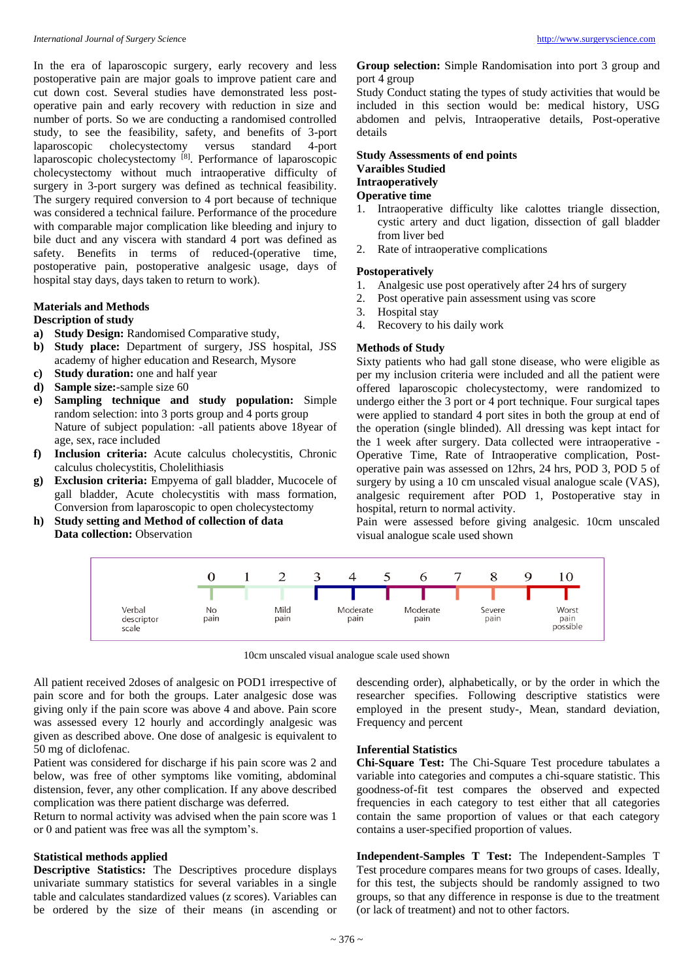In the era of laparoscopic surgery, early recovery and less postoperative pain are major goals to improve patient care and cut down cost. Several studies have demonstrated less postoperative pain and early recovery with reduction in size and number of ports. So we are conducting a randomised controlled study, to see the feasibility, safety, and benefits of 3-port laparoscopic cholecystectomy versus standard 4-port laparoscopic cholecystectomy<sup>[8]</sup>. Performance of laparoscopic cholecystectomy without much intraoperative difficulty of surgery in 3-port surgery was defined as technical feasibility. The surgery required conversion to 4 port because of technique was considered a technical failure. Performance of the procedure with comparable major complication like bleeding and injury to bile duct and any viscera with standard 4 port was defined as safety. Benefits in terms of reduced-(operative time, postoperative pain, postoperative analgesic usage, days of hospital stay days, days taken to return to work).

#### **Materials and Methods**

**Description of study** 

- **a) Study Design:** Randomised Comparative study,
- **b) Study place:** Department of surgery, JSS hospital, JSS academy of higher education and Research, Mysore
- **c) Study duration:** one and half year
- **d) Sample size:**-sample size 60
- **e) Sampling technique and study population:** Simple random selection: into 3 ports group and 4 ports group Nature of subject population: -all patients above 18year of age, sex, race included
- **f) Inclusion criteria:** Acute calculus cholecystitis, Chronic calculus cholecystitis, Cholelithiasis
- **g) Exclusion criteria:** Empyema of gall bladder, Mucocele of gall bladder, Acute cholecystitis with mass formation, Conversion from laparoscopic to open cholecystectomy
- **h) Study setting and Method of collection of data Data collection:** Observation

#### **Group selection:** Simple Randomisation into port 3 group and port 4 group

Study Conduct stating the types of study activities that would be included in this section would be: medical history, USG abdomen and pelvis, Intraoperative details, Post-operative details

#### **Study Assessments of end points Varaibles Studied Intraoperatively Operative time**

- 1. Intraoperative difficulty like calottes triangle dissection, cystic artery and duct ligation, dissection of gall bladder from liver bed
- 2. Rate of intraoperative complications

#### **Postoperatively**

- 1. Analgesic use post operatively after 24 hrs of surgery
- 2. Post operative pain assessment using vas score
- 3. Hospital stay
- 4. Recovery to his daily work

#### **Methods of Study**

Sixty patients who had gall stone disease, who were eligible as per my inclusion criteria were included and all the patient were offered laparoscopic cholecystectomy, were randomized to undergo either the 3 port or 4 port technique. Four surgical tapes were applied to standard 4 port sites in both the group at end of the operation (single blinded). All dressing was kept intact for the 1 week after surgery. Data collected were intraoperative - Operative Time, Rate of Intraoperative complication, Postoperative pain was assessed on 12hrs, 24 hrs, POD 3, POD 5 of surgery by using a 10 cm unscaled visual analogue scale (VAS), analgesic requirement after POD 1, Postoperative stay in hospital, return to normal activity.

Pain were assessed before giving analgesic. 10cm unscaled visual analogue scale used shown



10cm unscaled visual analogue scale used shown

All patient received 2doses of analgesic on POD1 irrespective of pain score and for both the groups. Later analgesic dose was giving only if the pain score was above 4 and above. Pain score was assessed every 12 hourly and accordingly analgesic was given as described above. One dose of analgesic is equivalent to 50 mg of diclofenac.

Patient was considered for discharge if his pain score was 2 and below, was free of other symptoms like vomiting, abdominal distension, fever, any other complication. If any above described complication was there patient discharge was deferred.

Return to normal activity was advised when the pain score was 1 or 0 and patient was free was all the symptom's.

### **Statistical methods applied**

**Descriptive Statistics:** The Descriptives procedure displays univariate summary statistics for several variables in a single table and calculates standardized values (z scores). Variables can be ordered by the size of their means (in ascending or

descending order), alphabetically, or by the order in which the researcher specifies. Following descriptive statistics were employed in the present study-, Mean, standard deviation, Frequency and percent

#### **Inferential Statistics**

**Chi-Square Test:** The Chi-Square Test procedure tabulates a variable into categories and computes a chi-square statistic. This goodness-of-fit test compares the observed and expected frequencies in each category to test either that all categories contain the same proportion of values or that each category contains a user-specified proportion of values.

**Independent-Samples T Test:** The Independent-Samples T Test procedure compares means for two groups of cases. Ideally, for this test, the subjects should be randomly assigned to two groups, so that any difference in response is due to the treatment (or lack of treatment) and not to other factors.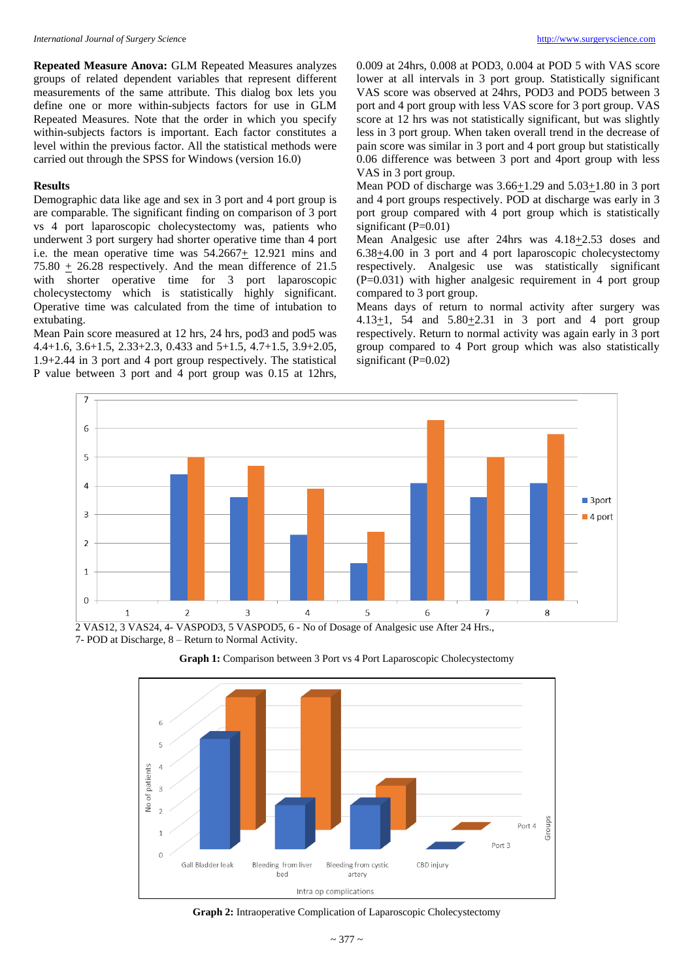**Repeated Measure Anova:** GLM Repeated Measures analyzes groups of related dependent variables that represent different measurements of the same attribute. This dialog box lets you define one or more within-subjects factors for use in GLM Repeated Measures. Note that the order in which you specify within-subjects factors is important. Each factor constitutes a level within the previous factor. All the statistical methods were carried out through the SPSS for Windows (version 16.0)

#### **Results**

Demographic data like age and sex in 3 port and 4 port group is are comparable. The significant finding on comparison of 3 port vs 4 port laparoscopic cholecystectomy was, patients who underwent 3 port surgery had shorter operative time than 4 port i.e. the mean operative time was 54.2667+ 12.921 mins and 75.80  $\pm$  26.28 respectively. And the mean difference of 21.5 with shorter operative time for 3 port laparoscopic cholecystectomy which is statistically highly significant. Operative time was calculated from the time of intubation to extubating.

Mean Pain score measured at 12 hrs, 24 hrs, pod3 and pod5 was 4.4+1.6, 3.6+1.5, 2.33+2.3, 0.433 and 5+1.5, 4.7+1.5, 3.9+2.05, 1.9+2.44 in 3 port and 4 port group respectively. The statistical P value between 3 port and 4 port group was 0.15 at 12hrs,

0.009 at 24hrs, 0.008 at POD3, 0.004 at POD 5 with VAS score lower at all intervals in 3 port group. Statistically significant VAS score was observed at 24hrs, POD3 and POD5 between 3 port and 4 port group with less VAS score for 3 port group. VAS score at 12 hrs was not statistically significant, but was slightly less in 3 port group. When taken overall trend in the decrease of pain score was similar in 3 port and 4 port group but statistically 0.06 difference was between 3 port and 4port group with less VAS in 3 port group.

Mean POD of discharge was 3.66+1.29 and 5.03+1.80 in 3 port and 4 port groups respectively. POD at discharge was early in 3 port group compared with 4 port group which is statistically significant  $(P=0.01)$ 

Mean Analgesic use after 24hrs was  $4.18 \pm 2.53$  doses and 6.38+4.00 in 3 port and 4 port laparoscopic cholecystectomy respectively. Analgesic use was statistically significant (P=0.031) with higher analgesic requirement in 4 port group compared to 3 port group.

Means days of return to normal activity after surgery was 4.13 $\pm$ 1, 54 and 5.80 $\pm$ 2.31 in 3 port and 4 port group respectively. Return to normal activity was again early in 3 port group compared to 4 Port group which was also statistically significant  $(P=0.02)$ 



7- POD at Discharge, 8 – Return to Normal Activity.





#### **Graph 2:** Intraoperative Complication of Laparoscopic Cholecystectomy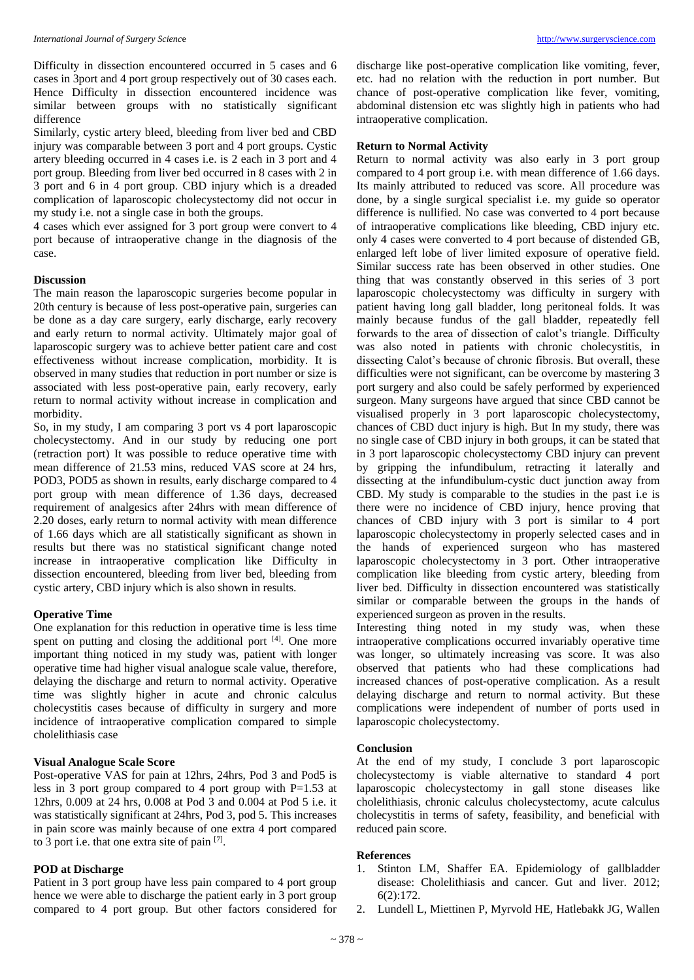Difficulty in dissection encountered occurred in 5 cases and 6 cases in 3port and 4 port group respectively out of 30 cases each. Hence Difficulty in dissection encountered incidence was similar between groups with no statistically significant difference

Similarly, cystic artery bleed, bleeding from liver bed and CBD injury was comparable between 3 port and 4 port groups. Cystic artery bleeding occurred in 4 cases i.e. is 2 each in 3 port and 4 port group. Bleeding from liver bed occurred in 8 cases with 2 in 3 port and 6 in 4 port group. CBD injury which is a dreaded complication of laparoscopic cholecystectomy did not occur in my study i.e. not a single case in both the groups.

4 cases which ever assigned for 3 port group were convert to 4 port because of intraoperative change in the diagnosis of the case.

#### **Discussion**

The main reason the laparoscopic surgeries become popular in 20th century is because of less post-operative pain, surgeries can be done as a day care surgery, early discharge, early recovery and early return to normal activity. Ultimately major goal of laparoscopic surgery was to achieve better patient care and cost effectiveness without increase complication, morbidity. It is observed in many studies that reduction in port number or size is associated with less post-operative pain, early recovery, early return to normal activity without increase in complication and morbidity.

So, in my study, I am comparing 3 port vs 4 port laparoscopic cholecystectomy. And in our study by reducing one port (retraction port) It was possible to reduce operative time with mean difference of 21.53 mins, reduced VAS score at 24 hrs, POD3, POD5 as shown in results, early discharge compared to 4 port group with mean difference of 1.36 days, decreased requirement of analgesics after 24hrs with mean difference of 2.20 doses, early return to normal activity with mean difference of 1.66 days which are all statistically significant as shown in results but there was no statistical significant change noted increase in intraoperative complication like Difficulty in dissection encountered, bleeding from liver bed, bleeding from cystic artery, CBD injury which is also shown in results.

#### **Operative Time**

One explanation for this reduction in operative time is less time spent on putting and closing the additional port [4]. One more important thing noticed in my study was, patient with longer operative time had higher visual analogue scale value, therefore, delaying the discharge and return to normal activity. Operative time was slightly higher in acute and chronic calculus cholecystitis cases because of difficulty in surgery and more incidence of intraoperative complication compared to simple cholelithiasis case

#### **Visual Analogue Scale Score**

Post-operative VAS for pain at 12hrs, 24hrs, Pod 3 and Pod5 is less in 3 port group compared to 4 port group with P=1.53 at 12hrs, 0.009 at 24 hrs, 0.008 at Pod 3 and 0.004 at Pod 5 i.e. it was statistically significant at 24hrs, Pod 3, pod 5. This increases in pain score was mainly because of one extra 4 port compared to 3 port i.e. that one extra site of pain [7].

#### **POD at Discharge**

Patient in 3 port group have less pain compared to 4 port group hence we were able to discharge the patient early in 3 port group compared to 4 port group. But other factors considered for

discharge like post-operative complication like vomiting, fever, etc. had no relation with the reduction in port number. But chance of post-operative complication like fever, vomiting, abdominal distension etc was slightly high in patients who had intraoperative complication.

#### **Return to Normal Activity**

Return to normal activity was also early in 3 port group compared to 4 port group i.e. with mean difference of 1.66 days. Its mainly attributed to reduced vas score. All procedure was done, by a single surgical specialist i.e. my guide so operator difference is nullified. No case was converted to 4 port because of intraoperative complications like bleeding, CBD injury etc. only 4 cases were converted to 4 port because of distended GB, enlarged left lobe of liver limited exposure of operative field. Similar success rate has been observed in other studies. One thing that was constantly observed in this series of 3 port laparoscopic cholecystectomy was difficulty in surgery with patient having long gall bladder, long peritoneal folds. It was mainly because fundus of the gall bladder, repeatedly fell forwards to the area of dissection of calot's triangle. Difficulty was also noted in patients with chronic cholecystitis, in dissecting Calot's because of chronic fibrosis. But overall, these difficulties were not significant, can be overcome by mastering 3 port surgery and also could be safely performed by experienced surgeon. Many surgeons have argued that since CBD cannot be visualised properly in 3 port laparoscopic cholecystectomy, chances of CBD duct injury is high. But In my study, there was no single case of CBD injury in both groups, it can be stated that in 3 port laparoscopic cholecystectomy CBD injury can prevent by gripping the infundibulum, retracting it laterally and dissecting at the infundibulum-cystic duct junction away from CBD. My study is comparable to the studies in the past i.e is there were no incidence of CBD injury, hence proving that chances of CBD injury with 3 port is similar to 4 port laparoscopic cholecystectomy in properly selected cases and in the hands of experienced surgeon who has mastered laparoscopic cholecystectomy in 3 port. Other intraoperative complication like bleeding from cystic artery, bleeding from liver bed. Difficulty in dissection encountered was statistically similar or comparable between the groups in the hands of experienced surgeon as proven in the results.

Interesting thing noted in my study was, when these intraoperative complications occurred invariably operative time was longer, so ultimately increasing vas score. It was also observed that patients who had these complications had increased chances of post-operative complication. As a result delaying discharge and return to normal activity. But these complications were independent of number of ports used in laparoscopic cholecystectomy.

#### **Conclusion**

At the end of my study, I conclude 3 port laparoscopic cholecystectomy is viable alternative to standard 4 port laparoscopic cholecystectomy in gall stone diseases like cholelithiasis, chronic calculus cholecystectomy, acute calculus cholecystitis in terms of safety, feasibility, and beneficial with reduced pain score.

#### **References**

- 1. Stinton LM, Shaffer EA. Epidemiology of gallbladder disease: Cholelithiasis and cancer. Gut and liver. 2012; 6(2):172.
- 2. Lundell L, Miettinen P, Myrvold HE, Hatlebakk JG, Wallen